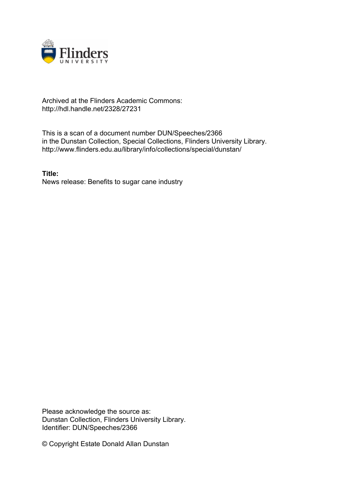

## Archived at the Flinders Academic Commons: http://hdl.handle.net/2328/27231

This is a scan of a document number DUN/Speeches/2366 in the Dunstan Collection, Special Collections, Flinders University Library. http://www.flinders.edu.au/library/info/collections/special/dunstan/

**Title:** News release: Benefits to sugar cane industry

Please acknowledge the source as: Dunstan Collection, Flinders University Library. Identifier: DUN/Speeches/2366

© Copyright Estate Donald Allan Dunstan